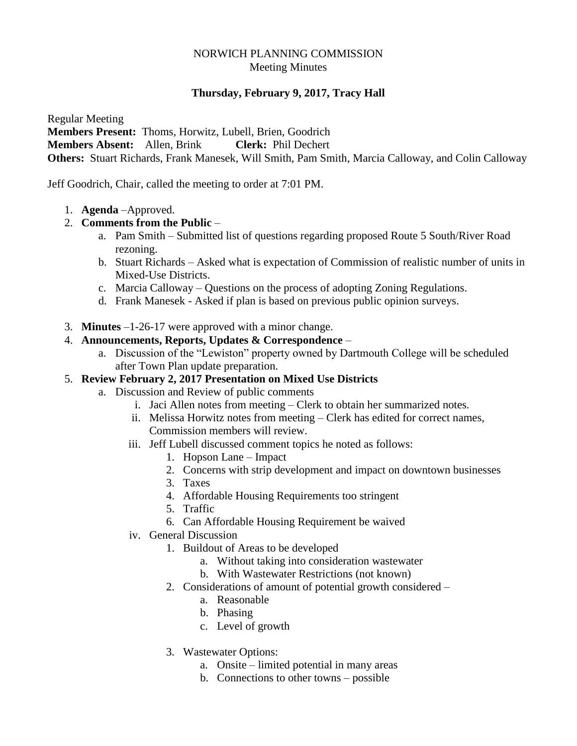## NORWICH PLANNING COMMISSION Meeting Minutes

# **Thursday, February 9, 2017, Tracy Hall**

Regular Meeting **Members Present:** Thoms, Horwitz, Lubell, Brien, Goodrich **Members Absent:** Allen, Brink **Clerk:** Phil Dechert **Others:** Stuart Richards, Frank Manesek, Will Smith, Pam Smith, Marcia Calloway, and Colin Calloway

Jeff Goodrich, Chair, called the meeting to order at 7:01 PM.

- 1. **Agenda** –Approved.
- 2. **Comments from the Public**
	- a. Pam Smith Submitted list of questions regarding proposed Route 5 South/River Road rezoning.
	- b. Stuart Richards Asked what is expectation of Commission of realistic number of units in Mixed-Use Districts.
	- c. Marcia Calloway Questions on the process of adopting Zoning Regulations.
	- d. Frank Manesek Asked if plan is based on previous public opinion surveys.
- 3. **Minutes** –1-26-17 were approved with a minor change.

## 4. **Announcements, Reports, Updates & Correspondence** –

a. Discussion of the "Lewiston" property owned by Dartmouth College will be scheduled after Town Plan update preparation.

## 5. **Review February 2, 2017 Presentation on Mixed Use Districts**

- a. Discussion and Review of public comments
	- i. Jaci Allen notes from meeting Clerk to obtain her summarized notes.
	- ii. Melissa Horwitz notes from meeting Clerk has edited for correct names, Commission members will review.
	- iii. Jeff Lubell discussed comment topics he noted as follows:
		- 1. Hopson Lane Impact
		- 2. Concerns with strip development and impact on downtown businesses
		- 3. Taxes
		- 4. Affordable Housing Requirements too stringent
		- 5. Traffic
		- 6. Can Affordable Housing Requirement be waived
	- iv. General Discussion
		- 1. Buildout of Areas to be developed
			- a. Without taking into consideration wastewater
			- b. With Wastewater Restrictions (not known)
		- 2. Considerations of amount of potential growth considered
			- a. Reasonable
			- b. Phasing
			- c. Level of growth
		- 3. Wastewater Options:
			- a. Onsite limited potential in many areas
			- b. Connections to other towns possible